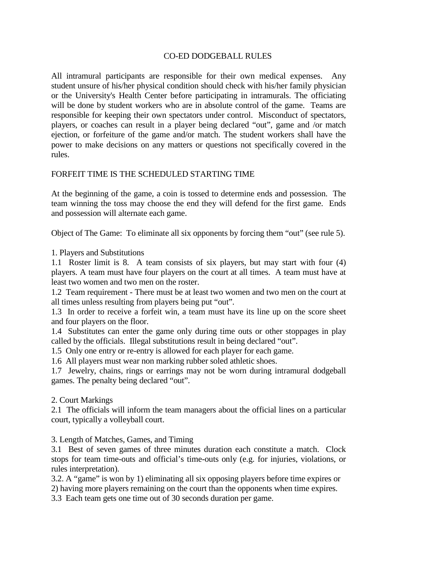## CO-ED DODGEBALL RULES

All intramural participants are responsible for their own medical expenses. Any student unsure of his/her physical condition should check with his/her family physician or the University's Health Center before participating in intramurals. The officiating will be done by student workers who are in absolute control of the game. Teams are responsible for keeping their own spectators under control. Misconduct of spectators, players, or coaches can result in a player being declared "out", game and /or match ejection, or forfeiture of the game and/or match. The student workers shall have the power to make decisions on any matters or questions not specifically covered in the rules.

## FORFEIT TIME IS THE SCHEDULED STARTING TIME

At the beginning of the game, a coin is tossed to determine ends and possession. The team winning the toss may choose the end they will defend for the first game. Ends and possession will alternate each game.

Object of The Game: To eliminate all six opponents by forcing them "out" (see rule 5).

1. Players and Substitutions

1.1 Roster limit is 8. A team consists of six players, but may start with four (4) players. A team must have four players on the court at all times. A team must have at least two women and two men on the roster.

1.2 Team requirement - There must be at least two women and two men on the court at all times unless resulting from players being put "out".

 1.3 In order to receive a forfeit win, a team must have its line up on the score sheet and four players on the floor.

1.4 Substitutes can enter the game only during time outs or other stoppages in play called by the officials. Illegal substitutions result in being declared "out".

1.5 Only one entry or re-entry is allowed for each player for each game.

1.6 All players must wear non marking rubber soled athletic shoes.

1.7 Jewelry, chains, rings or earrings may not be worn during intramural dodgeball games. The penalty being declared "out".

2. Court Markings

2.1 The officials will inform the team managers about the official lines on a particular court, typically a volleyball court.

3. Length of Matches, Games, and Timing

3.1 Best of seven games of three minutes duration each constitute a match. Clock stops for team time-outs and official's time-outs only (e.g. for injuries, violations, or rules interpretation).

3.2. A "game" is won by 1) eliminating all six opposing players before time expires or 2) having more players remaining on the court than the opponents when time expires.

3.3 Each team gets one time out of 30 seconds duration per game.